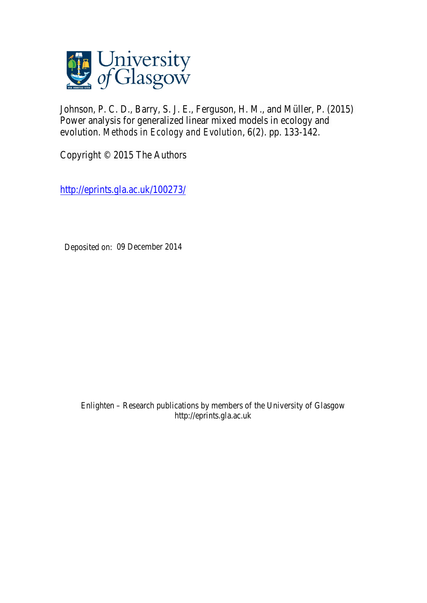

Johnson, P. C. D., Barry, S. J. E., Ferguson, H. M., and Müller, P. (2015) Power analysis for generalized linear mixed models in ecology and evolution. *Methods in Ecology and Evolution*, 6(2). pp. 133-142.

Copyright © 2015 The Authors

http://eprints.gla.ac.uk/100273/

Deposited on: 09 December 2014

Enlighten – Research publications by members of the University of Glasgow http://eprints.gla.ac.uk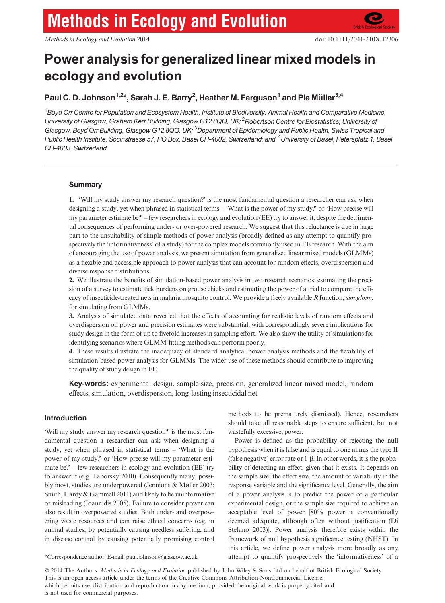# **Methods in Ecology and Evolution**

Methods in Ecology and Evolution 2014 doi: 10.1111/2041-210X.12306

## Power analysis for generalized linear mixed models in ecology and evolution

## Paul C. D. Johnson<sup>1,2</sup>\*, Sarah J. E. Barry<sup>2</sup>, Heather M. Ferguson<sup>1</sup> and Pie Müller<sup>3,4</sup>

<sup>1</sup>Boyd Orr Centre for Population and Ecosystem Health, Institute of Biodiversity, Animal Health and Comparative Medicine, University of Glasgow, Graham Kerr Building, Glasgow G12 8QQ, UK; <sup>2</sup>Robertson Centre for Biostatistics, University ot Glasgow, Boyd Orr Building, Glasgow G12 8QQ, UK; <sup>3</sup>Department of Epidemiology and Public Health, Swiss Tropical and Public Health Institute, Socinstrasse 57, PO Box, Basel CH-4002, Switzerland; and <sup>4</sup>University of Basel, Petersplatz 1, Basel CH-4003, Switzerland

## Summary

1. 'Will my study answer my research question?' is the most fundamental question a researcher can ask when designing a study, yet when phrased in statistical terms – 'What is the power of my study?' or 'How precise will my parameter estimate be?' – few researchers in ecology and evolution (EE) try to answer it, despite the detrimental consequences of performing under- or over-powered research. We suggest that this reluctance is due in large part to the unsuitability of simple methods of power analysis (broadly defined as any attempt to quantify prospectively the 'informativeness' of a study) for the complex models commonly used in EE research. With the aim of encouraging the use of power analysis, we present simulation from generalized linear mixed models (GLMMs) as a flexible and accessible approach to power analysis that can account for random effects, overdispersion and diverse response distributions.

2. We illustrate the benefits of simulation-based power analysis in two research scenarios: estimating the precision of a survey to estimate tick burdens on grouse chicks and estimating the power of a trial to compare the efficacy of insecticide-treated nets in malaria mosquito control. We provide a freely available  $R$  function,  $\sin \theta$ mm, for simulating from GLMMs.

3. Analysis of simulated data revealed that the effects of accounting for realistic levels of random effects and overdispersion on power and precision estimates were substantial, with correspondingly severe implications for study design in the form of up to fivefold increases in sampling effort. We also show the utility of simulations for identifying scenarios where GLMM-fitting methods can perform poorly.

4. These results illustrate the inadequacy of standard analytical power analysis methods and the flexibility of simulation-based power analysis for GLMMs. The wider use of these methods should contribute to improving the quality of study design in EE.

Key-words: experimental design, sample size, precision, generalized linear mixed model, random effects, simulation, overdispersion, long-lasting insecticidal net

## Introduction

'Will my study answer my research question?' is the most fundamental question a researcher can ask when designing a study, yet when phrased in statistical terms – 'What is the power of my study?' or 'How precise will my parameter estimate be?' – few researchers in ecology and evolution (EE) try to answer it (e.g. Taborsky 2010). Consequently many, possibly most, studies are underpowered (Jennions & Møller 2003; Smith, Hardy & Gammell 2011) and likely to be uninformative or misleading (Ioannidis 2005). Failure to consider power can also result in overpowered studies. Both under- and overpowering waste resources and can raise ethical concerns (e.g. in animal studies, by potentially causing needless suffering; and in disease control by causing potentially promising control methods to be prematurely dismissed). Hence, researchers should take all reasonable steps to ensure sufficient, but not wastefully excessive, power.

Power is defined as the probability of rejecting the null hypothesis when it is false and is equal to one minus the type II (false negative) error rate or  $1-\beta$ . In other words, it is the probability of detecting an effect, given that it exists. It depends on the sample size, the effect size, the amount of variability in the response variable and the significance level. Generally, the aim of a power analysis is to predict the power of a particular experimental design, or the sample size required to achieve an acceptable level of power [80% power is conventionally deemed adequate, although often without justification (Di Stefano 2003)]. Power analysis therefore exists within the framework of null hypothesis significance testing (NHST). In this article, we define power analysis more broadly as any \*Correspondence author. E-mail: paul.johnson@glasgow.ac.uk attempt to quantify prospectively the 'informativeness' of a

© 2014 The Authors. Methods in Ecology and Evolution published by John Wiley & Sons Ltd on behalf of British Ecological Society. This is an open access article under the terms of the Creative Commons Attribution-NonCommercial License, which permits use, distribution and reproduction in any medium, provided the original work is properly cited and is not used for commercial purposes.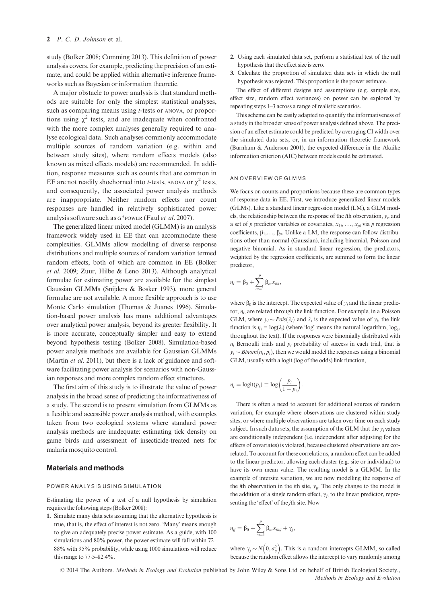study (Bolker 2008; Cumming 2013). This definition of power analysis covers, for example, predicting the precision of an estimate, and could be applied within alternative inference frameworks such as Bayesian or information theoretic.

A major obstacle to power analysis is that standard methods are suitable for only the simplest statistical analyses, such as comparing means using *t*-tests or ANOVA, or proportions using  $\chi^2$  tests, and are inadequate when confronted with the more complex analyses generally required to analyse ecological data. Such analyses commonly accommodate multiple sources of random variation (e.g. within and between study sites), where random effects models (also known as mixed effects models) are recommended. In addition, response measures such as counts that are common in EE are not readily shoehorned into *t*-tests, ANOVA or  $\chi^2$  tests, and consequently, the associated power analysis methods are inappropriate. Neither random effects nor count responses are handled in relatively sophisticated power analysis software such as G\*POWER (Faul et al. 2007).

The generalized linear mixed model (GLMM) is an analysis framework widely used in EE that can accommodate these complexities. GLMMs allow modelling of diverse response distributions and multiple sources of random variation termed random effects, both of which are common in EE (Bolker et al. 2009; Zuur, Hilbe & Leno 2013). Although analytical formulae for estimating power are available for the simplest Gaussian GLMMs (Snijders & Bosker 1993), more general formulae are not available. A more flexible approach is to use Monte Carlo simulation (Thomas & Juanes 1996). Simulation-based power analysis has many additional advantages over analytical power analysis, beyond its greater flexibility. It is more accurate, conceptually simpler and easy to extend beyond hypothesis testing (Bolker 2008). Simulation-based power analysis methods are available for Gaussian GLMMs (Martin et al. 2011), but there is a lack of guidance and software facilitating power analysis for scenarios with non-Gaussian responses and more complex random effect structures.

The first aim of this study is to illustrate the value of power analysis in the broad sense of predicting the informativeness of a study. The second is to present simulation from GLMMs as a flexible and accessible power analysis method, with examples taken from two ecological systems where standard power analysis methods are inadequate: estimating tick density on game birds and assessment of insecticide-treated nets for malaria mosquito control.

## Materials and methods

#### POWER ANALYSIS USING SIMULATION

Estimating the power of a test of a null hypothesis by simulation requires the following steps (Bolker 2008):

1. Simulate many data sets assuming that the alternative hypothesis is true, that is, the effect of interest is not zero. 'Many' means enough to give an adequately precise power estimate. As a guide, with 100 simulations and 80% power, the power estimate will fall within 72– 88% with 95% probability, while using 1000 simulations will reduce this range to  $77.5-82.4\%$ .

- 2. Using each simulated data set, perform a statistical test of the null hypothesis that the effect size is zero.
- 3. Calculate the proportion of simulated data sets in which the null hypothesis was rejected. This proportion is the power estimate.

The effect of different designs and assumptions (e.g. sample size, effect size, random effect variances) on power can be explored by repeating steps 1–3 across a range of realistic scenarios.

This scheme can be easily adapted to quantify the informativeness of a study in the broader sense of power analysis defined above. The precision of an effect estimate could be predicted by averaging CI width over the simulated data sets, or, in an information theoretic framework (Burnham & Anderson 2001), the expected difference in the Akaike information criterion (AIC) between models could be estimated.

#### AN OVERVIEW OF GLMMS

We focus on counts and proportions because these are common types of response data in EE. First, we introduce generalized linear models (GLMs). Like a standard linear regression model (LM), a GLM models, the relationship between the response of the *i*th observation,  $y_i$ , and a set of p predictor variables or covariates,  $x_1$ ; ...,  $x_{pi}$  via p regression coefficients,  $\beta_1, \ldots, \beta_p$ . Unlike a LM, the response can follow distributions other than normal (Gaussian), including binomial, Poisson and negative binomial. As in standard linear regression, the predictors, weighted by the regression coefficients, are summed to form the linear predictor,

$$
\eta_i = \beta_0 + \sum_{m=1}^p \beta_m x_{mi},
$$

where  $\beta_0$  is the intercept. The expected value of  $y_i$  and the linear predictor,  $\eta_i$ , are related through the link function. For example, in a Poisson GLM, where  $y_i \sim Pois(\lambda_i)$  and  $\lambda_i$  is the expected value of  $y_i$ , the link function is  $\eta_i = \log(\lambda_i)$  (where 'log' means the natural logarithm, log<sub>e</sub>, throughout the text). If the negogyong were hipersially distributed with throughout the text). If the responses were binomially distributed with  $n_i$  Bernoulli trials and  $p_i$  probability of success in each trial, that is  $y_i \sim Binom(n_i, p_i)$ , then we would model the responses using a binomial GLM, usually with a logit (log of the odds) link function,

$$
\eta_i = \text{logit}(p_i) \equiv \text{log}\left(\frac{p_i}{1 - p_i}\right).
$$

There is often a need to account for additional sources of random variation, for example where observations are clustered within study sites, or where multiple observations are taken over time on each study subject. In such data sets, the assumption of the GLM that the  $y_i$  values are conditionally independent (i.e. independent after adjusting for the effects of covariates) is violated, because clustered observations are correlated. To account for these correlations, a random effect can be added to the linear predictor, allowing each cluster (e.g. site or individual) to have its own mean value. The resulting model is a GLMM. In the example of intersite variation, we are now modelling the response of the *i*th observation in the *j*th site,  $y_{ij}$ . The only change to the model is the addition of a single random effect,  $\gamma_j$ , to the linear predictor, representing the 'effect' of the jth site. Now

$$
\eta_{ij} = \beta_0 + \sum_{m=1}^p \beta_m x_{mij} + \gamma_j,
$$

where  $\gamma_j \sim N(0, \sigma_\gamma^2)$ . This is a random intercepts GLMM, so-called<br>because the anglore official lower the intercept to your mandomly emong because the random effect allows the intercept to vary randomly among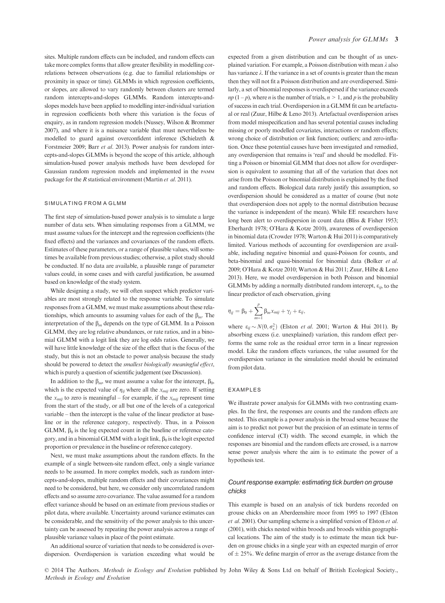sites. Multiple random effects can be included, and random effects can take more complex forms that allow greater flexibility in modelling correlations between observations (e.g. due to familial relationships or proximity in space or time). GLMMs in which regression coefficients, or slopes, are allowed to vary randomly between clusters are termed random intercepts-and-slopes GLMMs. Random intercepts-andslopes models have been applied to modelling inter-individual variation in regression coefficients both where this variation is the focus of enquiry, as in random regression models (Nussey, Wilson & Brommer 2007), and where it is a nuisance variable that must nevertheless be modelled to guard against overconfident inference (Schielzeth & Forstmeier 2009; Barr et al. 2013). Power analysis for random intercepts-and-slopes GLMMs is beyond the scope of this article, although simulation-based power analysis methods have been developed for Gaussian random regression models and implemented in the PAMM package for the R statistical environment (Martin et al. 2011).

#### SIMULATING FROM A GLMM

The first step of simulation-based power analysis is to simulate a large number of data sets. When simulating responses from a GLMM, we must assume values for the intercept and the regression coefficients (the fixed effects) and the variances and covariances of the random effects. Estimates of these parameters, or a range of plausible values, will sometimes be available from previous studies; otherwise, a pilot study should be conducted. If no data are available, a plausible range of parameter values could, in some cases and with careful justification, be assumed based on knowledge of the study system.

While designing a study, we will often suspect which predictor variables are most strongly related to the response variable. To simulate responses from a GLMM, we must make assumptions about these relationships, which amounts to assuming values for each of the  $\beta_m$ . The interpretation of the  $\beta_m$  depends on the type of GLMM. In a Poisson GLMM, they are log relative abundances, or rate ratios, and in a binomial GLMM with a logit link they are log odds ratios. Generally, we will have little knowledge of the size of the effect that is the focus of the study, but this is not an obstacle to power analysis because the study should be powered to detect the smallest biologically meaningful effect, which is purely a question of scientific judgement (see Discussion).

In addition to the  $\beta_m$ , we must assume a value for the intercept,  $\beta_0$ , which is the expected value of  $\eta_{ij}$  where all the  $x_{mi}$  are zero. If setting the  $x_{\text{mii}}$  to zero is meaningful – for example, if the  $x_{\text{mii}}$  represent time from the start of the study, or all but one of the levels of a categorical variable – then the intercept is the value of the linear predictor at baseline or in the reference category, respectively. Thus, in a Poisson GLMM,  $\beta_0$  is the log expected count in the baseline or reference category, and in a binomial GLMM with a logit link,  $\beta_0$  is the logit expected proportion or prevalence in the baseline or reference category.

Next, we must make assumptions about the random effects. In the example of a single between-site random effect, only a single variance needs to be assumed. In more complex models, such as random intercepts-and-slopes, multiple random effects and their covariances might need to be considered, but here, we consider only uncorrelated random effects and so assume zero covariance. The value assumed for a random effect variance should be based on an estimate from previous studies or pilot data, where available. Uncertainty around variance estimates can be considerable, and the sensitivity of the power analysis to this uncertainty can be assessed by repeating the power analysis across a range of plausible variance values in place of the point estimate.

An additional source of variation that needs to be considered is overdispersion. Overdispersion is variation exceeding what would be expected from a given distribution and can be thought of as unexplained variation. For example, a Poisson distribution with mean  $\lambda$  also has variance  $\lambda$ . If the variance in a set of counts is greater than the mean then they will not fit a Poisson distribution and are overdispersed. Similarly, a set of binomial responses is overdispersed if the variance exceeds  $np(1-p)$ , where *n* is the number of trials,  $n > 1$ , and *p* is the probability of success in each trial. Overdispersion in a GLMM fit can be artefactual or real (Zuur, Hilbe & Leno 2013). Artefactual overdispersion arises from model misspecification and has several potential causes including missing or poorly modelled covariates, interactions or random effects; wrong choice of distribution or link function; outliers; and zero-inflation. Once these potential causes have been investigated and remedied, any overdispersion that remains is 'real' and should be modelled. Fitting a Poisson or binomial GLMM that does not allow for overdispersion is equivalent to assuming that all of the variation that does not arise from the Poisson or binomial distribution is explained by the fixed and random effects. Biological data rarely justify this assumption, so overdispersion should be considered as a matter of course (but note that overdispersion does not apply to the normal distribution because the variance is independent of the mean). While EE researchers have long been alert to overdispersion in count data (Bliss & Fisher 1953; Eberhardt 1978; O'Hara & Kotze 2010), awareness of overdispersion in binomial data (Crowder 1978; Warton & Hui 2011) is comparatively limited. Various methods of accounting for overdispersion are available, including negative binomial and quasi-Poisson for counts, and beta-binomial and quasi-binomial for binomial data (Bolker et al. 2009; O'Hara & Kotze 2010; Warton & Hui 2011; Zuur, Hilbe & Leno 2013). Here, we model overdispersion in both Poisson and binomial GLMMs by adding a normally distributed random intercept,  $\varepsilon_{ii}$ , to the linear predictor of each observation, giving

$$
\eta_{ij} = \beta_0 + \sum_{m=1}^p \beta_m x_{mij} + \gamma_j + \epsilon_{ij},
$$

where  $\varepsilon_{ij} \sim N(0, \sigma_{\varepsilon}^2)$  (Elston *et al.* 2001; Warton & Hui 2011). By absorbing excess (i.e. unexplained) variation, this random effect performs the same role as the residual error term in a linear regression model. Like the random effects variances, the value assumed for the overdispersion variance in the simulation model should be estimated from pilot data.

#### EXAMPLES

We illustrate power analysis for GLMMs with two contrasting examples. In the first, the responses are counts and the random effects are nested. This example is a power analysis in the broad sense because the aim is to predict not power but the precision of an estimate in terms of confidence interval (CI) width. The second example, in which the responses are binomial and the random effects are crossed, is a narrow sense power analysis where the aim is to estimate the power of a hypothesis test.

## Count response example: estimating tick burden on grouse chicks

This example is based on an analysis of tick burdens recorded on grouse chicks on an Aberdeenshire moor from 1995 to 1997 (Elston et al. 2001). Our sampling scheme is a simplified version of Elston et al. (2001), with chicks nested within broods and broods within geographical locations. The aim of the study is to estimate the mean tick burden on grouse chicks in a single year with an expected margin of error of  $\pm$  25%. We define margin of error as the average distance from the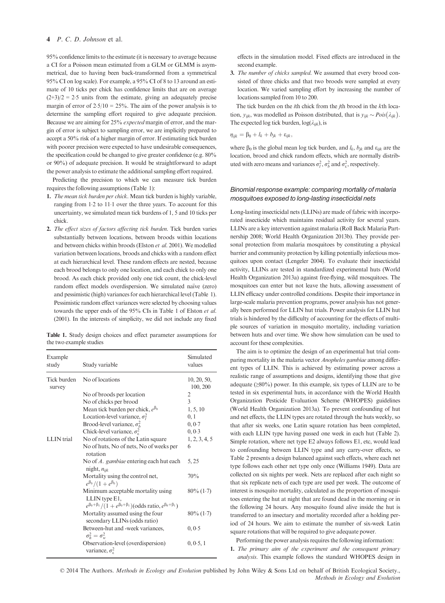## 4 P. C. D. Johnson et al.

95% confidence limits to the estimate (it is necessary to average because a CI for a Poisson mean estimated from a GLM or GLMM is asymmetrical, due to having been back-transformed from a symmetrical 95% CI on log scale). For example, a 95% CI of 8 to 13 around an estimate of 10 ticks per chick has confidence limits that are on average  $(2+3)/2 = 2.5$  units from the estimate, giving an adequately precise margin of error of  $2.5/10 = 25%$ . The aim of the power analysis is to determine the sampling effort required to give adequate precision. Because we are aiming for 25% expected margin of error, and the margin of error is subject to sampling error, we are implicitly prepared to accept a 50% risk of a higher margin of error. If estimating tick burden with poorer precision were expected to have undesirable consequences, the specification could be changed to give greater confidence (e.g. 80% or 90%) of adequate precision. It would be straightforward to adapt the power analysis to estimate the additional sampling effort required.

Predicting the precision to which we can measure tick burden requires the following assumptions (Table 1):

- 1. The mean tick burden per chick. Mean tick burden is highly variable, ranging from 1.2 to 11.1 over the three years. To account for this uncertainty, we simulated mean tick burdens of 1, 5 and 10 ticks per chick.
- 2. The effect sizes of factors affecting tick burden. Tick burden varies substantially between locations, between broods within locations and between chicks within broods (Elston et al. 2001). We modelled variation between locations, broods and chicks with a random effect at each hierarchical level. These random effects are nested, because each brood belongs to only one location, and each chick to only one brood. As each chick provided only one tick count, the chick-level random effect models overdispersion. We simulated naïve (zero) and pessimistic (high) variances for each hierarchical level (Table 1). Pessimistic random effect variances were selected by choosing values towards the upper ends of the 95% CIs in Table 1 of Elston et al. (2001). In the interests of simplicity, we did not include any fixed

Table 1. Study design choices and effect parameter assumptions for the two example studies

| Example<br>study      | Study variable                                                                                                                                    | Simulated<br>values      |
|-----------------------|---------------------------------------------------------------------------------------------------------------------------------------------------|--------------------------|
| Tick burden<br>survey | No of locations                                                                                                                                   | 10, 20, 50,<br>100, 200  |
|                       | No of broods per location                                                                                                                         | 2                        |
|                       | No of chicks per brood                                                                                                                            | $\overline{\mathcal{E}}$ |
|                       | Mean tick burden per chick, $e^{\beta_0}$                                                                                                         | 1, 5, 10                 |
|                       | Location-level variance, $\sigma_l^2$                                                                                                             | 0, 1                     |
|                       | Brood-level variance, $\sigma_h^2$                                                                                                                | 0, 0.7                   |
|                       | Chick-level variance, $\sigma_{\rm s}^2$                                                                                                          | 0.03                     |
| LLIN <sub>trial</sub> | No of rotations of the Latin square                                                                                                               | 1, 2, 3, 4, 5            |
|                       | No of huts, No of nets, No of weeks per<br>rotation                                                                                               | 6                        |
|                       | No of A. <i>gambiae</i> entering each hut each<br>night, $n_{ijk}$                                                                                | 5,25                     |
|                       | Mortality using the control net,<br>$e^{\beta_0}/(1+e^{\beta_0})$                                                                                 | 70%                      |
|                       | Minimum acceptable mortality using<br>LLIN type E1,<br>$e^{\beta_0 + \beta_1}/(1 + e^{\beta_0 + \beta_1})$ (odds ratio, $e^{\beta_0 + \beta_1}$ ) | $80\%$ (1.7)             |
|                       | Mortality assumed using the four<br>secondary LLINs (odds ratio)                                                                                  | $80\%$ (1.7)             |
|                       | Between-hut and -week variances,<br>$\sigma_h^2 = \sigma_w^2$                                                                                     | 0, 0.5                   |
|                       | Observation-level (overdispersion)<br>variance, $\sigma_{\rm s}^2$                                                                                | 0, 0.5, 1                |

effects in the simulation model. Fixed effects are introduced in the second example.

3. The number of chicks sampled. We assumed that every brood consisted of three chicks and that two broods were sampled at every location. We varied sampling effort by increasing the number of locations sampled from 10 to 200.

The tick burden on the  $i$ th chick from the  $j$ th brood in the  $k$ th location,  $y_{ijk}$ , was modelled as Poisson distributed, that is  $y_{ijk} \sim Pois(\lambda_{ijk})$ . The expected log tick burden,  $log(\lambda_{ijk})$ , is

$$
\eta_{ijk} = \beta_0 + l_k + b_{jk} + \varepsilon_{ijk},
$$

where  $\beta_0$  is the global mean log tick burden, and  $l_k$ ,  $b_{ik}$  and  $\varepsilon_{ijk}$  are the location, brood and chick random effects, which are normally distributed with zero means and variances  $\sigma_l^2$ ,  $\sigma_b^2$  and  $\sigma_e^2$ , respectively.

## Binomial response example: comparing mortality of malaria mosquitoes exposed to long-lasting insecticidal nets

Long-lasting insecticidal nets (LLINs) are made of fabric with incorporated insecticide which maintains residual activity for several years. LLINs are a key intervention against malaria (Roll Back Malaria Partnership 2008; World Health Organization 2013b). They provide personal protection from malaria mosquitoes by constituting a physical barrier and community protection by killing potentially infectious mosquitoes upon contact (Lengeler 2004). To evaluate their insecticidal activity, LLINs are tested in standardized experimental huts (World Health Organization 2013a) against free-flying, wild mosquitoes. The mosquitoes can enter but not leave the huts, allowing assessment of LLIN efficacy under controlled conditions. Despite their importance in large-scale malaria prevention programs, power analysis has not generally been performed for LLIN hut trials. Power analysis for LLIN hut trials is hindered by the difficulty of accounting for the effects of multiple sources of variation in mosquito mortality, including variation between huts and over time. We show how simulation can be used to account for these complexities.

The aim is to optimize the design of an experimental hut trial comparing mortality in the malaria vector Anopheles gambiae among different types of LLIN. This is achieved by estimating power across a realistic range of assumptions and designs, identifying those that give adequate (≥80%) power. In this example, six types of LLIN are to be tested in six experimental huts, in accordance with the World Health Organization Pesticide Evaluation Scheme (WHOPES) guidelines (World Health Organization 2013a). To prevent confounding of hut and net effects, the LLIN types are rotated through the huts weekly, so that after six weeks, one Latin square rotation has been completed, with each LLIN type having passed one week in each hut (Table 2). Simple rotation, where net type E2 always follows E1, etc, would lead to confounding between LLIN type and any carry-over effects, so Table 2 presents a design balanced against such effects, where each net type follows each other net type only once (Williams 1949). Data are collected on six nights per week. Nets are replaced after each night so that six replicate nets of each type are used per week. The outcome of interest is mosquito mortality, calculated as the proportion of mosquitoes entering the hut at night that are found dead in the morning or in the following 24 hours. Any mosquito found alive inside the hut is transferred to an insectary and mortality recorded after a holding period of 24 hours. We aim to estimate the number of six-week Latin square rotations that will be required to give adequate power.

Performing the power analysis requires the following information:

1. The primary aim of the experiment and the consequent primary analysis. This example follows the standard WHOPES design in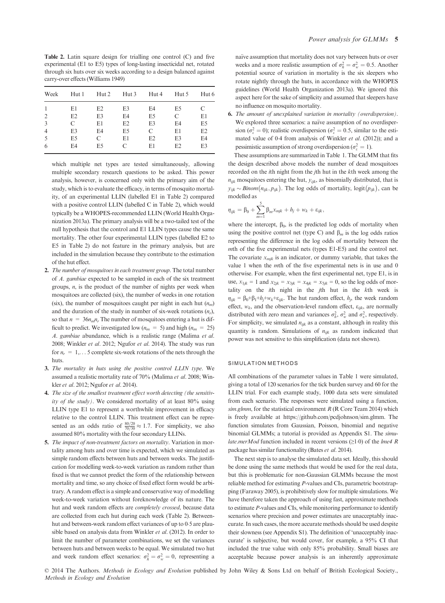Table 2. Latin square design for trialling one control (C) and five experimental (E1 to E5) types of long-lasting insecticidal net, rotated through six huts over six weeks according to a design balanced against carry-over effects (Williams 1949)

| Hut 1          | Hut 2          | Hut 3          | Hut 4          | Hut 5          | Hut 6          |
|----------------|----------------|----------------|----------------|----------------|----------------|
| E1             | E2             | E3             | E4             | E5             | С              |
| E2             | E <sub>3</sub> | E4             | E <sub>5</sub> | C              | E1             |
| C              | E1             | E2             | E <sub>3</sub> | F <sub>4</sub> | E <sub>5</sub> |
| E <sub>3</sub> | F <sub>4</sub> | E <sub>5</sub> | C              | E1             | E2             |
| E5             | C              | E1             | E2             | E3             | E <sub>4</sub> |
| F <sub>4</sub> | E <sub>5</sub> | C              | E1             | E2             | E <sub>3</sub> |
|                |                |                |                |                |                |

which multiple net types are tested simultaneously, allowing multiple secondary research questions to be asked. This power analysis, however, is concerned only with the primary aim of the study, which is to evaluate the efficacy, in terms of mosquito mortality, of an experimental LLIN (labelled E1 in Table 2) compared with a positive control LLIN (labelled C in Table 2), which would typically be a WHOPES-recommended LLIN (World Health Organization 2013a). The primary analysis will be a two-tailed test of the null hypothesis that the control and E1 LLIN types cause the same mortality. The other four experimental LLIN types (labelled E2 to E5 in Table 2) do not feature in the primary analysis, but are included in the simulation because they contribute to the estimation of the hut effect.

- 2. The number of mosquitoes in each treatment group. The total number of A. gambiae expected to be sampled in each of the six treatment groups,  $n$ , is the product of the number of nights per week when mosquitoes are collected (six), the number of weeks in one rotation (six), the number of mosquitoes caught per night in each hut  $(n_m)$ and the duration of the study in number of six-week rotations  $(n_r)$ , so that  $n = 36n_m n_r$ . The number of mosquitoes entering a hut is difficult to predict. We investigated low ( $n_m = 5$ ) and high ( $n_m = 25$ ) A. gambiae abundance, which is a realistic range (Malima et al. 2008; Winkler et al. 2012; Ngufor et al. 2014). The study was run for  $n_r = 1, \ldots 5$  complete six-week rotations of the nets through the huts.
- 3. The mortality in huts using the positive control LLIN type. We assumed a realistic mortality rate of 70% (Malima et al. 2008; Winkler et al. 2012; Ngufor et al. 2014).
- 4. The size of the smallest treatment effect worth detecting (the sensitivity of the study). We considered mortality of at least 80% using LLIN type E1 to represent a worthwhile improvement in efficacy relative to the control LLIN. This treatment effect can be represented as an odds ratio of  $\frac{80/20}{70/30} \approx 1.7$ . For simplicity, we also assumed 80% mortality with the four secondary LLINs.
- 5. The impact of non-treatment factors on mortality. Variation in mortality among huts and over time is expected, which we simulated as simple random effects between huts and between weeks. The justification for modelling week-to-week variation as random rather than fixed is that we cannot predict the form of the relationship between mortality and time, so any choice of fixed effect form would be arbitrary. A random effect is a simple and conservative way of modelling week-to-week variation without foreknowledge of its nature. The hut and week random effects are completely crossed, because data are collected from each hut during each week (Table 2). Betweenhut and between-week random effect variances of up to 0.5 are plausible based on analysis data from Winkler et al. (2012). In order to limit the number of parameter combinations, we set the variances between huts and between weeks to be equal. We simulated two hut and week random effect scenarios:  $\sigma_h^2 = \sigma_w^2 = 0$ , representing a

naïve assumption that mortality does not vary between huts or over weeks and a more realistic assumption of  $\sigma_h^2 = \sigma_w^2 = 0.5$ . Another potential source of variation in mortality is the six sleepers who rotate nightly through the huts, in accordance with the WHOPES guidelines (World Health Organization 2013a). We ignored this aspect here for the sake of simplicity and assumed that sleepers have no influence on mosquito mortality.

6. The amount of unexplained variation in mortality (overdispersion). We explored three scenarios: a naïve assumption of no overdispersion  $(\sigma_{\varepsilon}^2 = 0)$ ; realistic overdispersion  $(\sigma_{\varepsilon}^2 = 0.5$ , similar to the esti-<br>water as local figure and win of Waylabar to  $d_1$  (2012)); and a mated value of 0.4 from analysis of Winkler et al. (2012)); and a pessimistic assumption of strong overdispersion  $(\sigma_{\varepsilon}^2 = 1)$ .

These assumptions are summarized in Table 1. The GLMM that fits the design described above models the number of dead mosquitoes recorded on the ith night from the jth hut in the kth week among the  $n_{ijk}$  mosquitoes entering the hut,  $y_{ijk}$ , as binomially distributed, that is  $y_{ijk} \sim Binom(n_{ijk}, p_{ijk})$ . The log odds of mortality, logit $(p_{ijk})$ , can be modelled as

$$
\eta_{ijk} = \beta_0 + \sum_{m=1}^5 \beta_m x_{mjk} + h_j + w_k + \varepsilon_{ijk},
$$

where the intercept,  $\beta_0$ , is the predicted log odds of mortality when using the positive control net (type C) and  $\beta_m$  is the log odds ratios representing the difference in the log odds of mortality between the mth of the five experimental nets (types E1-E5) and the control net. The covariate  $x_{mik}$  is an indicator, or dummy variable, that takes the value 1 when the mth of the five experimental nets is in use and 0 otherwise. For example, when the first experimental net, type E1, is in use,  $x_{1jk} = 1$  and  $x_{2jk} = x_{3jk} = x_{4jk} = x_{5jk} = 0$ , so the log odds of mortality on the ith night in the jth hut in the kth week is  $\eta_{ijk} = \beta_0 + \beta_1 + h_j + w_k + \varepsilon_{ijk}$ . The hut random effect,  $h_j$ , the week random effect,  $w_k$ , and the observation-level random effect,  $\varepsilon_{ijk}$ , are normally distributed with zero mean and variances  $\sigma_h^2$ ,  $\sigma_w^2$  and  $\sigma_e^2$ , respectively.<br>Exercise this we simulated we are constant, although in prolity this For simplicity, we simulated  $n_{ijk}$  as a constant, although in reality this quantity is random. Simulations of  $n_{ijk}$  as random indicated that power was not sensitive to this simplification (data not shown).

#### SIMULATION METHODS

All combinations of the parameter values in Table 1 were simulated, giving a total of 120 scenarios for the tick burden survey and 60 for the LLIN trial. For each example study, 1000 data sets were simulated from each scenario. The responses were simulated using a function, sim.glmm, for the statistical environment  $R$  (R Core Team 2014) which is freely available at https://github.com/pcdjohnson/sim.glmm. The function simulates from Gaussian, Poisson, binomial and negative binomial GLMMs; a tutorial is provided as Appendix S1. The simu*late.merMod* function included in recent versions ( $\geq$ 1.0) of the *lme4 R* package has similar functionality (Bates et al. 2014).

The next step is to analyse the simulated data set. Ideally, this should be done using the same methods that would be used for the real data, but this is problematic for non-Gaussian GLMMs because the most reliable method for estimating P-values and CIs, parametric bootstrapping (Faraway 2005), is prohibitively slow for multiple simulations. We have therefore taken the approach of using fast, approximate methods to estimate P-values and CIs, while monitoring performance to identify scenarios where precision and power estimates are unacceptably inaccurate. In such cases, the more accurate methods should be used despite their slowness (see Appendix S1). The definition of 'unacceptably inaccurate' is subjective, but would cover, for example, a 95% CI that included the true value with only 85% probability. Small biases are acceptable because power analysis is an inherently approximate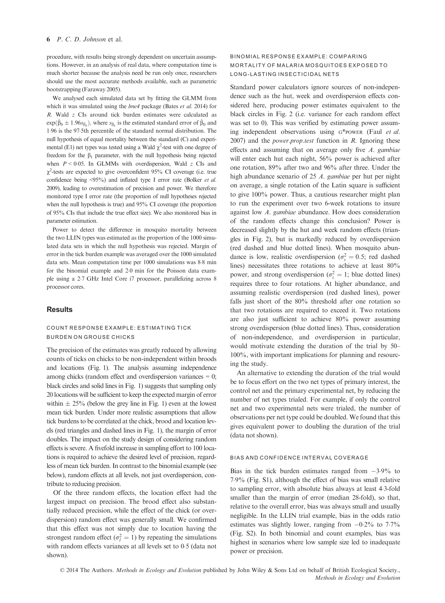procedure, with results being strongly dependent on uncertain assumptions. However, in an analysis of real data, where computation time is much shorter because the analysis need be run only once, researchers should use the most accurate methods available, such as parametric bootstrapping (Faraway 2005).

We analysed each simulated data set by fitting the GLMM from which it was simulated using the *lme4* package (Bates *et al.* 2014) for R. Wald z CIs around tick burden estimates were calculated as  $\exp(\hat{\beta}_0 \pm 1.96s_{\beta_0})$ , where  $s_{\beta_0}$  is the estimated standard error of  $\hat{\beta}_0$  and 1.96 is the 97.5th percentile of the standard normal distribution. The null hypothesis of equal mortality between the standard (C) and experimental (E1) net types was tested using a Wald  $\chi^2$ -test with one degree of freedom for the  $\beta_1$  parameter, with the null hypothesis being rejected when  $P < 0.05$ . In GLMMs with overdispersion, Wald z CIs and  $\chi^2$ -tests are expected to give overconfident 95% CI coverage (i.e. true confidence being <95%) and inflated type I error rate (Bolker et al. 2009), leading to overestimation of precision and power. We therefore monitored type I error rate (the proportion of null hypotheses rejected when the null hypothesis is true) and 95% CI coverage (the proportion of 95% CIs that include the true effect size). We also monitored bias in parameter estimation.

Power to detect the difference in mosquito mortality between the two LLIN types was estimated as the proportion of the 1000 simulated data sets in which the null hypothesis was rejected. Margin of error in the tick burden example was averaged over the 1000 simulated data sets. Mean computation time per 1000 simulations was 8.8 min for the binomial example and 20 min for the Poisson data example using a 27 GHz Intel Core i7 processor, parallelizing across 8 processor cores.

## **Results**

## COUNT RESPONSE EXAMPLE: ESTIMATING TICK BURDEN ON GROUSE CHICKS

The precision of the estimates was greatly reduced by allowing counts of ticks on chicks to be non-independent within broods and locations (Fig. 1). The analysis assuming independence among chicks (random effect and overdispersion variances  $= 0$ ; black circles and solid lines in Fig. 1) suggests that sampling only 20 locations will be sufficient to keep the expected margin of error within  $\pm 25\%$  (below the grey line in Fig. 1) even at the lowest mean tick burden. Under more realistic assumptions that allow tick burdens to be correlated at the chick, brood and location levels (red triangles and dashed lines in Fig. 1), the margin of error doubles. The impact on the study design of considering random effects is severe. A fivefold increase in sampling effort to 100 locations is required to achieve the desired level of precision, regardless of mean tick burden. In contrast to the binomial example (see below), random effects at all levels, not just overdispersion, contribute to reducing precision.

Of the three random effects, the location effect had the largest impact on precision. The brood effect also substantially reduced precision, while the effect of the chick (or overdispersion) random effect was generally small. We confirmed that this effect was not simply due to location having the strongest random effect  $(\sigma_l^2 = 1)$  by repeating the simulations<br>with readom effects variances at all loyels set to 0.5 (data not with random effects variances at all levels set to 0.5 (data not shown).

## BINOMIAL RESPONSE EXAMPLE: COMPARING MORTALITY OF MALARIA MOSQUITOES EXPOSED TO LONG-LASTING INSECTICIDAL NETS

Standard power calculators ignore sources of non-independence such as the hut, week and overdispersion effects considered here, producing power estimates equivalent to the black circles in Fig. 2 (i.e. variance for each random effect was set to 0). This was verified by estimating power assuming independent observations using G\*POWER (Faul et al. 2007) and the power.prop.test function in R. Ignoring these effects and assuming that on average only five A. gambiae will enter each hut each night, 56% power is achieved after one rotation, 89% after two and 96% after three. Under the high abundance scenario of 25 A. gambiae per hut per night on average, a single rotation of the Latin square is sufficient to give 100% power. Thus, a cautious researcher might plan to run the experiment over two 6-week rotations to insure against low A. gambiae abundance. How does consideration of the random effects change this conclusion? Power is decreased slightly by the hut and week random effects (triangles in Fig. 2), but is markedly reduced by overdispersion (red dashed and blue dotted lines). When mosquito abundance is low, realistic overdispersion ( $\sigma_{\epsilon}^2 = 0.5$ ; red dashed<br>lines) perceptities three retations to estimate these 80% lines) necessitates three rotations to achieve at least 80% power, and strong overdispersion  $(\sigma_e^2 = 1)$ ; blue dotted lines) requires three to four rotations. At higher abundance, and assuming realistic overdispersion (red dashed lines), power falls just short of the 80% threshold after one rotation so that two rotations are required to exceed it. Two rotations are also just sufficient to achieve 80% power assuming strong overdispersion (blue dotted lines). Thus, consideration of non-independence, and overdispersion in particular, would motivate extending the duration of the trial by 50– 100%, with important implications for planning and resourcing the study.

An alternative to extending the duration of the trial would be to focus effort on the two net types of primary interest, the control net and the primary experimental net, by reducing the number of net types trialed. For example, if only the control net and two experimental nets were trialed, the number of observations per net type could be doubled. We found that this gives equivalent power to doubling the duration of the trial (data not shown).

## BIAS AND CONFIDENCE INTERVAL COVERAGE

Bias in the tick burden estimates ranged from  $-3.9\%$  to 79% (Fig. S1), although the effect of bias was small relative to sampling error, with absolute bias always at least 43-fold smaller than the margin of error (median 28-fold), so that, relative to the overall error, bias was always small and usually negligible. In the LLIN trial example, bias in the odds ratio estimates was slightly lower, ranging from  $-0.2\%$  to 7.7% (Fig. S2). In both binomial and count examples, bias was highest in scenarios where low sample size led to inadequate power or precision.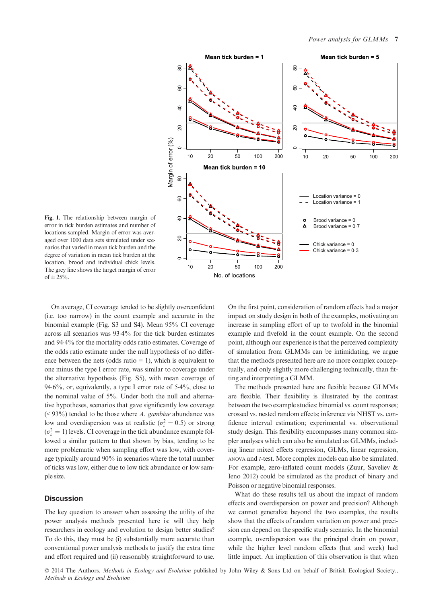

Fig. 1. The relationship between margin of error in tick burden estimates and number of locations sampled. Margin of error was averaged over 1000 data sets simulated under scenarios that varied in mean tick burden and the degree of variation in mean tick burden at the location, brood and individual chick levels. The grey line shows the target margin of error of  $\pm 25%$ .

On average, CI coverage tended to be slightly overconfident (i.e. too narrow) in the count example and accurate in the binomial example (Fig. S3 and S4). Mean 95% CI coverage across all scenarios was 934% for the tick burden estimates and 944% for the mortality odds ratio estimates. Coverage of the odds ratio estimate under the null hypothesis of no difference between the nets (odds ratio  $= 1$ ), which is equivalent to one minus the type I error rate, was similar to coverage under the alternative hypothesis (Fig. S5), with mean coverage of 946%, or, equivalently, a type I error rate of 54%, close to the nominal value of 5%. Under both the null and alternative hypotheses, scenarios that gave significantly low coverage  $(< 93\%)$  tended to be those where A. gambiae abundance was low and overdispersion was at realistic  $(\sigma_{\epsilon}^2 = 0.5)$  or strong  $(\epsilon^2 = 1)$  loyals CI coverage in the tight abundance example fol- $(\sigma_e^2 = 1)$  levels. CI coverage in the tick abundance example fol-<br>lowed a similar pattern to that shown by hise, tonding to be lowed a similar pattern to that shown by bias, tending to be more problematic when sampling effort was low, with coverage typically around 90% in scenarios where the total number of ticks was low, either due to low tick abundance or low sample size.

## **Discussion**

The key question to answer when assessing the utility of the power analysis methods presented here is: will they help researchers in ecology and evolution to design better studies? To do this, they must be (i) substantially more accurate than conventional power analysis methods to justify the extra time and effort required and (ii) reasonably straightforward to use.

On the first point, consideration of random effects had a major impact on study design in both of the examples, motivating an increase in sampling effort of up to twofold in the binomial example and fivefold in the count example. On the second point, although our experience is that the perceived complexity of simulation from GLMMs can be intimidating, we argue that the methods presented here are no more complex conceptually, and only slightly more challenging technically, than fitting and interpreting a GLMM.

The methods presented here are flexible because GLMMs are flexible. Their flexibility is illustrated by the contrast between the two example studies: binomial vs. count responses; crossed vs. nested random effects; inference via NHST vs. confidence interval estimation; experimental vs. observational study design. This flexibility encompasses many common simpler analyses which can also be simulated as GLMMs, including linear mixed effects regression, GLMs, linear regression, ANOVA and t-test. More complex models can also be simulated. For example, zero-inflated count models (Zuur, Saveliev & Ieno 2012) could be simulated as the product of binary and Poisson or negative binomial responses.

What do these results tell us about the impact of random effects and overdispersion on power and precision? Although we cannot generalize beyond the two examples, the results show that the effects of random variation on power and precision can depend on the specific study scenario. In the binomial example, overdispersion was the principal drain on power, while the higher level random effects (hut and week) had little impact. An implication of this observation is that when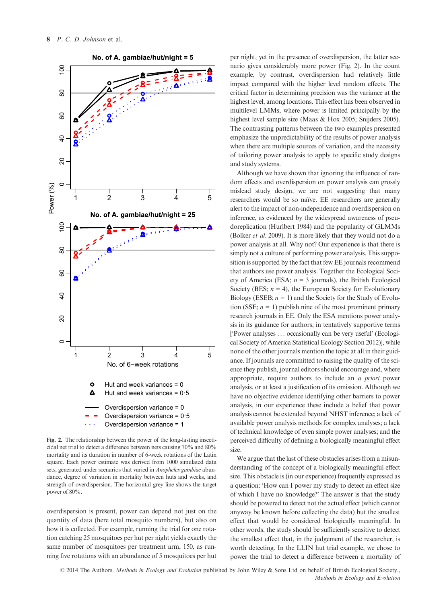

Fig. 2. The relationship between the power of the long-lasting insecticidal net trial to detect a difference between nets causing 70% and 80% mortality and its duration in number of 6-week rotations of the Latin square. Each power estimate was derived from 1000 simulated data sets, generated under scenarios that varied in Anopheles gambiae abundance, degree of variation in mortality between huts and weeks, and strength of overdispersion. The horizontal grey line shows the target power of 80%.

overdispersion is present, power can depend not just on the quantity of data (here total mosquito numbers), but also on how it is collected. For example, running the trial for one rotation catching 25 mosquitoes per hut per night yields exactly the same number of mosquitoes per treatment arm, 150, as running five rotations with an abundance of 5 mosquitoes per hut per night, yet in the presence of overdispersion, the latter scenario gives considerably more power (Fig. 2). In the count example, by contrast, overdispersion had relatively little impact compared with the higher level random effects. The critical factor in determining precision was the variance at the highest level, among locations. This effect has been observed in multilevel LMMs, where power is limited principally by the highest level sample size (Maas & Hox 2005; Snijders 2005). The contrasting patterns between the two examples presented emphasize the unpredictability of the results of power analysis when there are multiple sources of variation, and the necessity of tailoring power analysis to apply to specific study designs and study systems.

Although we have shown that ignoring the influence of random effects and overdispersion on power analysis can grossly mislead study design, we are not suggesting that many researchers would be so naïve. EE researchers are generally alert to the impact of non-independence and overdispersion on inference, as evidenced by the widespread awareness of pseudoreplication (Hurlbert 1984) and the popularity of GLMMs (Bolker et al. 2009). It is more likely that they would not do a power analysis at all. Why not? Our experience is that there is simply not a culture of performing power analysis. This supposition is supported by the fact that few EE journals recommend that authors use power analysis. Together the Ecological Society of America (ESA;  $n = 3$  journals), the British Ecological Society (BES;  $n = 4$ ), the European Society for Evolutionary Biology (ESEB;  $n = 1$ ) and the Society for the Study of Evolution (SSE;  $n = 1$ ) publish nine of the most prominent primary research journals in EE. Only the ESA mentions power analysis in its guidance for authors, in tentatively supportive terms ['Power analyses ... occasionally can be very useful' (Ecological Society of America Statistical Ecology Section 2012)], while none of the other journals mention the topic at all in their guidance. If journals are committed to raising the quality of the science they publish, journal editors should encourage and, where appropriate, require authors to include an a priori power analysis, or at least a justification of its omission. Although we have no objective evidence identifying other barriers to power analysis, in our experience these include a belief that power analysis cannot be extended beyond NHST inference; a lack of available power analysis methods for complex analyses; a lack of technical knowledge of even simple power analyses; and the perceived difficulty of defining a biologically meaningful effect size.

We argue that the last of these obstacles arises from a misunderstanding of the concept of a biologically meaningful effect size. This obstacle is (in our experience) frequently expressed as a question: 'How can I power my study to detect an effect size of which I have no knowledge?' The answer is that the study should be powered to detect not the actual effect (which cannot anyway be known before collecting the data) but the smallest effect that would be considered biologically meaningful. In other words, the study should be sufficiently sensitive to detect the smallest effect that, in the judgement of the researcher, is worth detecting. In the LLIN hut trial example, we chose to power the trial to detect a difference between a mortality of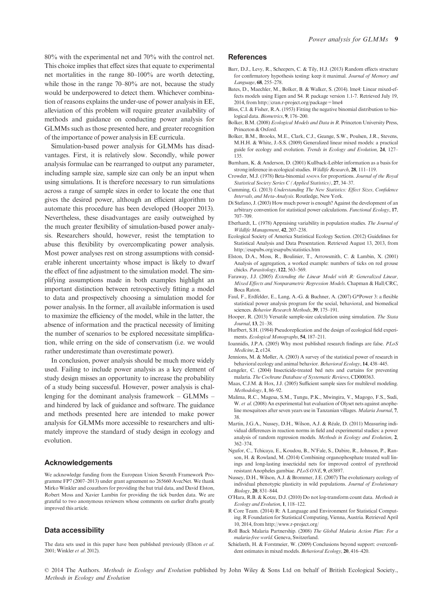80% with the experimental net and 70% with the control net. This choice implies that effect sizes that equate to experimental net mortalities in the range 80–100% are worth detecting, while those in the range 70–80% are not, because the study would be underpowered to detect them. Whichever combination of reasons explains the under-use of power analysis in EE, alleviation of this problem will require greater availability of methods and guidance on conducting power analysis for GLMMs such as those presented here, and greater recognition of the importance of power analysis in EE curricula.

Simulation-based power analysis for GLMMs has disadvantages. First, it is relatively slow. Secondly, while power analysis formulae can be rearranged to output any parameter, including sample size, sample size can only be an input when using simulations. It is therefore necessary to run simulations across a range of sample sizes in order to locate the one that gives the desired power, although an efficient algorithm to automate this procedure has been developed (Hooper 2013). Nevertheless, these disadvantages are easily outweighed by the much greater flexibility of simulation-based power analysis. Researchers should, however, resist the temptation to abuse this flexibility by overcomplicating power analysis. Most power analyses rest on strong assumptions with considerable inherent uncertainty whose impact is likely to dwarf the effect of fine adjustment to the simulation model. The simplifying assumptions made in both examples highlight an important distinction between retrospectively fitting a model to data and prospectively choosing a simulation model for power analysis. In the former, all available information is used to maximize the efficiency of the model, while in the latter, the absence of information and the practical necessity of limiting the number of scenarios to be explored necessitate simplification, while erring on the side of conservatism (i.e. we would rather underestimate than overestimate power).

In conclusion, power analysis should be much more widely used. Failing to include power analysis as a key element of study design misses an opportunity to increase the probability of a study being successful. However, power analysis is challenging for the dominant analysis framework – GLMMs – and hindered by lack of guidance and software. The guidance and methods presented here are intended to make power analysis for GLMMs more accessible to researchers and ultimately improve the standard of study design in ecology and evolution.

## Acknowledgements

We acknowledge funding from the European Union Seventh Framework Programme FP7 (2007–2013) under grant agreement no 265660 AvecNet. We thank Mirko Winkler and coauthors for providing the hut trial data, and David Elston, Robert Moss and Xavier Lambin for providing the tick burden data. We are grateful to two anonymous reviewers whose comments on earlier drafts greatly improved this article.

#### Data accessibility

The data sets used in this paper have been published previously (Elston et al. 2001; Winkler et al. 2012).

## References

- Barr, D.J., Levy, R., Scheepers, C. & Tily, H.J. (2013) Random effects structure for confirmatory hypothesis testing: keep it maximal. Journal of Memory and Language, 68, 255–278.
- Bates, D., Maechler, M., Bolker, B. & Walker, S. (2014). lme4: Linear mixed-effects models using Eigen and S4. R package version 1.1-7. Retrieved July 19, 2014, from http://cran.r-project.org/package=lme4
- Bliss, C.I. & Fisher, R.A. (1953) Fitting the negative binomial distribution to biological data. Biometrics, 9, 176–200.
- Bolker, B.M. (2008) Ecological Models and Data in R. Princeton University Press, Princeton & Oxford.
- Bolker, B.M., Brooks, M.E., Clark, C.J., Geange, S.W., Poulsen, J.R., Stevens, M.H.H. & White, J.-S.S. (2009) Generalized linear mixed models: a practical guide for ecology and evolution. Trends in Ecology and Evolution, 24, 127-135.
- Burnham, K. & Anderson, D. (2001) Kullback-Leibler information as a basis for strong inference in ecological studies. Wildlife Research, 28, 111–119.
- Crowder, M.J. (1978) Beta-binomial ANOVA for proportions. Journal of the Royal Statistical Society Series C (Applied Statistics), 27, 34–37.
- Cumming, G. (2013) Understanding The New Statistics: Effect Sizes, Confidence Intervals, and Meta-Analysis. Routledge, New York.
- Di Stefano, J. (2003) How much power is enough? Against the development of an arbitrary convention for statistical power calculations. Functional Ecology, 17, 707–709.
- Eberhardt, L. (1978) Appraising variability in population studies. The Journal of Wildlife Management, 42, 207–238.
- Ecological Society of America Statistical Ecology Section. (2012) Guidelines for Statistical Analysis and Data Presentation. Retrieved August 13, 2013, from http://esapubs.org/esapubs/statistics.htm
- Elston, D.A., Moss, R., Boulinier, T., Arrowsmith, C. & Lambin, X. (2001) Analysis of aggregation, a worked example: numbers of ticks on red grouse chicks. Parasitology, 122, 563-569.
- Faraway, J.J. (2005) Extending the Linear Model with R: Generalized Linear, Mixed Effects and Nonparametric Regression Models. Chapman & Hall/CRC, Boca Raton.
- Faul, F., Erdfelder, E., Lang, A.-G. & Buchner, A. (2007) G\*Power 3: a flexible statistical power analysis program for the social, behavioral, and biomedical sciences. Behavior Research Methods, 39, 175–191.
- Hooper, R. (2013) Versatile sample-size calculation using simulation. The Stata Journal, 13, 21–38.
- Hurlbert, S.H. (1984) Pseudoreplication and the design of ecological field experiments. Ecological Monographs, 54, 187–211.
- Ioannidis, J.P.A. (2005) Why most published research findings are false. PLoS Medicine, 2, e124.
- Jennions, M. & Møller, A. (2003) A survey of the statistical power of research in behavioral ecology and animal behavior. Behavioral Ecology, 14, 438–445.
- Lengeler, C. (2004) Insecticide-treated bed nets and curtains for preventing malaria. The Cochrane Database of Systematic Reviews, CD000363.
- Maas, C.J.M. & Hox, J.J. (2005) Sufficient sample sizes for multilevel modeling. Methodology, 1, 86–92.
- Malima, R.C., Magesa, S.M., Tungu, P.K., Mwingira, V., Magogo, F.S., Sudi, W. et al. (2008) An experimental hut evaluation of Olyset nets against anopheline mosquitoes after seven years use in Tanzanian villages. Malaria Journal, 7, 38.
- Martin, J.G.A., Nussey, D.H., Wilson, A.J. & Réale, D. (2011) Measuring individual differences in reaction norms in field and experimental studies: a power analysis of random regression models. Methods in Ecology and Evolution, 2, 362–374.
- Ngufor, C., Tchicaya, E., Koudou, B., N'Fale, S., Dabire, R., Johnson, P., Ranson, H. & Rowland, M. (2014) Combining organophosphate treated wall linings and long-lasting insecticidal nets for improved control of pyrethroid resistant Anopheles gambiae. PLoS ONE, 9, e83897.
- Nussey, D.H., Wilson, A.J. & Brommer, J.E. (2007) The evolutionary ecology of individual phenotypic plasticity in wild populations. Journal of Evolutionary Biology, 20, 831–844.
- O'Hara, R.B. & Kotze, D.J. (2010) Do not log-transform count data. Methods in Ecology and Evolution, 1, 118–122.
- R Core Team. (2014) R: A Language and Environment for Statistical Computing. R Foundation for Statistical Computing, Vienna, Austria. Retrieved April 10, 2014, from http://www.r-project.org/
- Roll Back Malaria Partnership. (2008) The Global Malaria Action Plan: For a malaria-free world. Geneva, Switzerland.
- Schielzeth, H. & Forstmeier, W. (2009) Conclusions beyond support: overconfident estimates in mixed models. Behavioral Ecology, 20, 416–420.